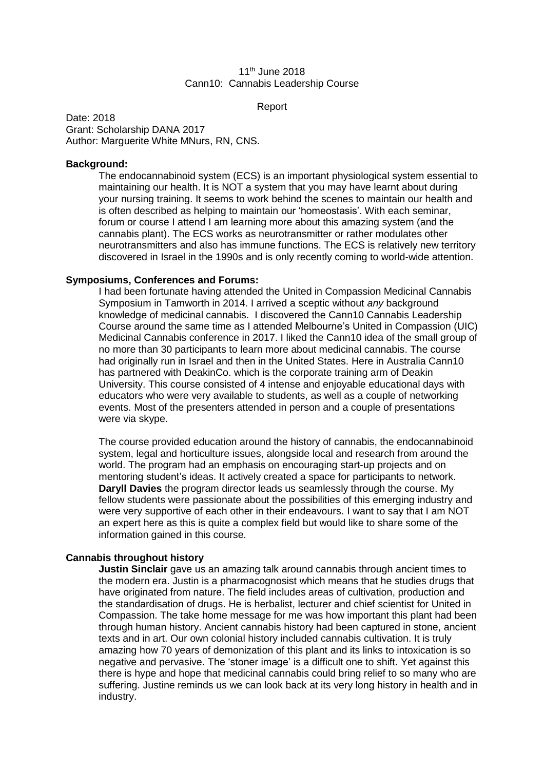## 11<sup>th</sup> June 2018 Cann10: Cannabis Leadership Course

Report

Date: 2018 Grant: Scholarship DANA 2017 Author: Marguerite White MNurs, RN, CNS.

### **Background:**

The endocannabinoid system (ECS) is an important physiological system essential to maintaining our health. It is NOT a system that you may have learnt about during your nursing training. It seems to work behind the scenes to maintain our health and is often described as helping to maintain our 'homeostasis'. With each seminar, forum or course I attend I am learning more about this amazing system (and the cannabis plant). The ECS works as neurotransmitter or rather modulates other neurotransmitters and also has immune functions. The ECS is relatively new territory discovered in Israel in the 1990s and is only recently coming to world-wide attention.

### **Symposiums, Conferences and Forums:**

I had been fortunate having attended the United in Compassion Medicinal Cannabis Symposium in Tamworth in 2014. I arrived a sceptic without *any* background knowledge of medicinal cannabis. I discovered the Cann10 Cannabis Leadership Course around the same time as I attended Melbourne's United in Compassion (UIC) Medicinal Cannabis conference in 2017. I liked the Cann10 idea of the small group of no more than 30 participants to learn more about medicinal cannabis. The course had originally run in Israel and then in the United States. Here in Australia Cann10 has partnered with DeakinCo. which is the corporate training arm of Deakin University. This course consisted of 4 intense and enjoyable educational days with educators who were very available to students, as well as a couple of networking events. Most of the presenters attended in person and a couple of presentations were via skype.

The course provided education around the history of cannabis, the endocannabinoid system, legal and horticulture issues, alongside local and research from around the world. The program had an emphasis on encouraging start-up projects and on mentoring student's ideas. It actively created a space for participants to network. **Daryll Davies** the program director leads us seamlessly through the course. My fellow students were passionate about the possibilities of this emerging industry and were very supportive of each other in their endeavours. I want to say that I am NOT an expert here as this is quite a complex field but would like to share some of the information gained in this course.

# **Cannabis throughout history**

**Justin Sinclair** gave us an amazing talk around cannabis through ancient times to the modern era. Justin is a pharmacognosist which means that he studies drugs that have originated from nature. The field includes areas of cultivation, production and the standardisation of drugs. He is herbalist, lecturer and chief scientist for United in Compassion. The take home message for me was how important this plant had been through human history. Ancient cannabis history had been captured in stone, ancient texts and in art. Our own colonial history included cannabis cultivation. It is truly amazing how 70 years of demonization of this plant and its links to intoxication is so negative and pervasive. The 'stoner image' is a difficult one to shift. Yet against this there is hype and hope that medicinal cannabis could bring relief to so many who are suffering. Justine reminds us we can look back at its very long history in health and in industry.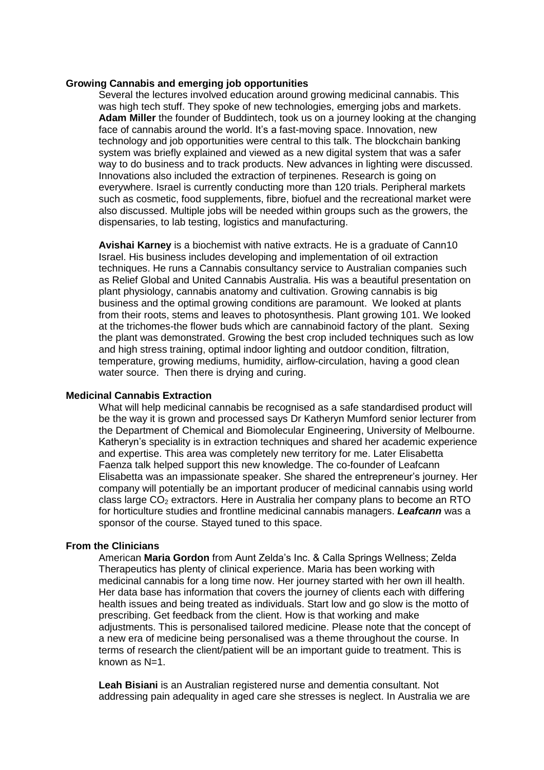#### **Growing Cannabis and emerging job opportunities**

Several the lectures involved education around growing medicinal cannabis. This was high tech stuff. They spoke of new technologies, emerging jobs and markets. **Adam Miller** the founder of Buddintech, took us on a journey looking at the changing face of cannabis around the world. It's a fast-moving space. Innovation, new technology and job opportunities were central to this talk. The blockchain banking system was briefly explained and viewed as a new digital system that was a safer way to do business and to track products. New advances in lighting were discussed. Innovations also included the extraction of terpinenes. Research is going on everywhere. Israel is currently conducting more than 120 trials. Peripheral markets such as cosmetic, food supplements, fibre, biofuel and the recreational market were also discussed. Multiple jobs will be needed within groups such as the growers, the dispensaries, to lab testing, logistics and manufacturing.

**Avishai Karney** is a biochemist with native extracts. He is a graduate of Cann10 Israel. His business includes developing and implementation of oil extraction techniques. He runs a Cannabis consultancy service to Australian companies such as Relief Global and United Cannabis Australia. His was a beautiful presentation on plant physiology, cannabis anatomy and cultivation. Growing cannabis is big business and the optimal growing conditions are paramount. We looked at plants from their roots, stems and leaves to photosynthesis. Plant growing 101. We looked at the trichomes-the flower buds which are cannabinoid factory of the plant. Sexing the plant was demonstrated. Growing the best crop included techniques such as low and high stress training, optimal indoor lighting and outdoor condition, filtration, temperature, growing mediums, humidity, airflow-circulation, having a good clean water source. Then there is drying and curing.

## **Medicinal Cannabis Extraction**

What will help medicinal cannabis be recognised as a safe standardised product will be the way it is grown and processed says Dr Katheryn Mumford senior lecturer from the Department of Chemical and Biomolecular Engineering, University of Melbourne. Katheryn's speciality is in extraction techniques and shared her academic experience and expertise. This area was completely new territory for me. Later Elisabetta Faenza talk helped support this new knowledge. The co-founder of Leafcann Elisabetta was an impassionate speaker. She shared the entrepreneur's journey. Her company will potentially be an important producer of medicinal cannabis using world class large  $CO<sub>2</sub>$  extractors. Here in Australia her company plans to become an RTO for horticulture studies and frontline medicinal cannabis managers. *Leafcann* was a sponsor of the course. Stayed tuned to this space.

# **From the Clinicians**

American **Maria Gordon** from Aunt Zelda's Inc. & Calla Springs Wellness; Zelda Therapeutics has plenty of clinical experience. Maria has been working with medicinal cannabis for a long time now. Her journey started with her own ill health. Her data base has information that covers the journey of clients each with differing health issues and being treated as individuals. Start low and go slow is the motto of prescribing. Get feedback from the client. How is that working and make adjustments. This is personalised tailored medicine. Please note that the concept of a new era of medicine being personalised was a theme throughout the course. In terms of research the client/patient will be an important guide to treatment. This is known as N=1.

**Leah Bisiani** is an Australian registered nurse and dementia consultant. Not addressing pain adequality in aged care she stresses is neglect. In Australia we are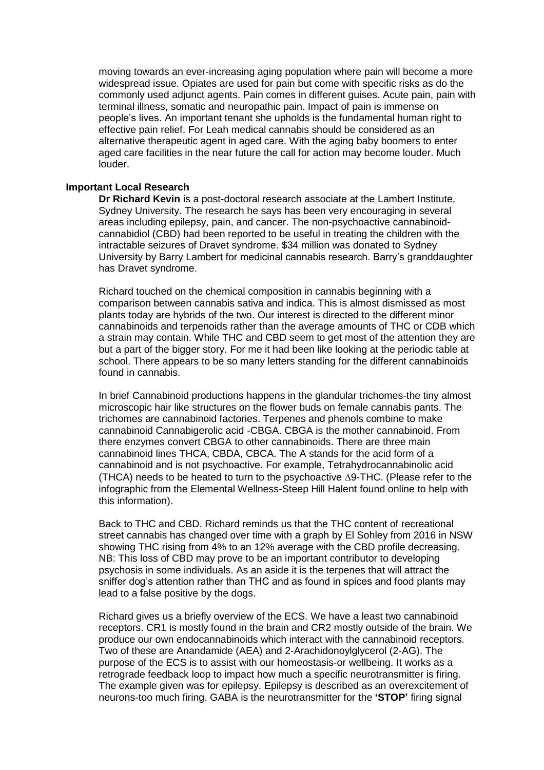moving towards an ever-increasing aging population where pain will become a more widespread issue. Opiates are used for pain but come with specific risks as do the commonly used adjunct agents. Pain comes in different guises. Acute pain, pain with terminal illness, somatic and neuropathic pain. Impact of pain is immense on people's lives. An important tenant she upholds is the fundamental human right to effective pain relief. For Leah medical cannabis should be considered as an alternative therapeutic agent in aged care. With the aging baby boomers to enter aged care facilities in the near future the call for action may become louder. Much louder.

### **Important Local Research**

**Dr Richard Kevin** is a post-doctoral research associate at the Lambert Institute, Sydney University. The research he says has been very encouraging in several areas including epilepsy, pain, and cancer. The non-psychoactive cannabinoidcannabidiol (CBD) had been reported to be useful in treating the children with the intractable seizures of Dravet syndrome. \$34 million was donated to Sydney University by Barry Lambert for medicinal cannabis research. Barry's granddaughter has Dravet syndrome.

Richard touched on the chemical composition in cannabis beginning with a comparison between cannabis sativa and indica. This is almost dismissed as most plants today are hybrids of the two. Our interest is directed to the different minor cannabinoids and terpenoids rather than the average amounts of THC or CDB which a strain may contain. While THC and CBD seem to get most of the attention they are but a part of the bigger story. For me it had been like looking at the periodic table at school. There appears to be so many letters standing for the different cannabinoids found in cannabis.

In brief Cannabinoid productions happens in the glandular trichomes-the tiny almost microscopic hair like structures on the flower buds on female cannabis pants. The trichomes are cannabinoid factories. Terpenes and phenols combine to make cannabinoid Cannabigerolic acid -CBGA. CBGA is the mother cannabinoid. From there enzymes convert CBGA to other cannabinoids. There are three main cannabinoid lines THCA, CBDA, CBCA. The A stands for the acid form of a cannabinoid and is not psychoactive. For example, Tetrahydrocannabinolic acid (THCA) needs to be heated to turn to the psychoactive  $\Delta$ 9-THC. (Please refer to the infographic from the Elemental Wellness-Steep Hill Halent found online to help with this information).

Back to THC and CBD. Richard reminds us that the THC content of recreational street cannabis has changed over time with a graph by El Sohley from 2016 in NSW showing THC rising from 4% to an 12% average with the CBD profile decreasing. NB: This loss of CBD may prove to be an important contributor to developing psychosis in some individuals. As an aside it is the terpenes that will attract the sniffer dog's attention rather than THC and as found in spices and food plants may lead to a false positive by the dogs.

Richard gives us a briefly overview of the ECS. We have a least two cannabinoid receptors. CR1 is mostly found in the brain and CR2 mostly outside of the brain. We produce our own endocannabinoids which interact with the cannabinoid receptors. Two of these are Anandamide (AEA) and 2-Arachidonoylglycerol (2-AG). The purpose of the ECS is to assist with our homeostasis-or wellbeing. It works as a retrograde feedback loop to impact how much a specific neurotransmitter is firing. The example given was for epilepsy. Epilepsy is described as an overexcitement of neurons-too much firing. GABA is the neurotransmitter for the **'STOP'** firing signal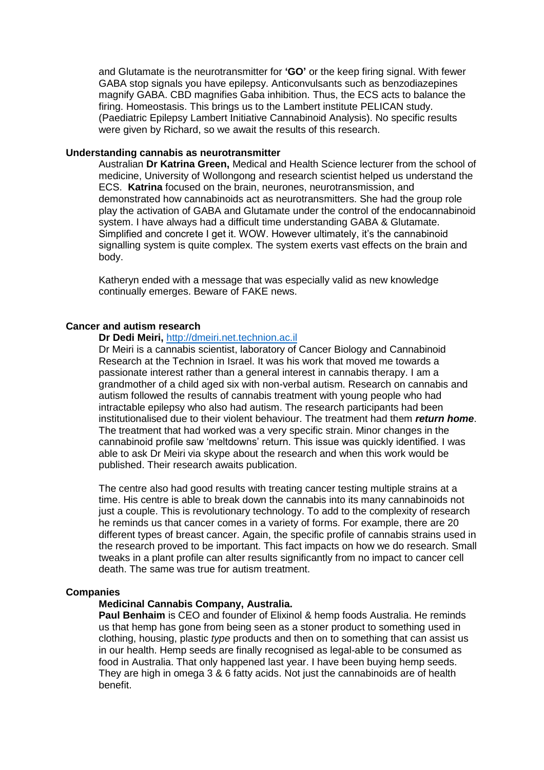and Glutamate is the neurotransmitter for **'GO'** or the keep firing signal. With fewer GABA stop signals you have epilepsy. Anticonvulsants such as benzodiazepines magnify GABA. CBD magnifies Gaba inhibition. Thus, the ECS acts to balance the firing. Homeostasis. This brings us to the Lambert institute PELICAN study. (Paediatric Epilepsy Lambert Initiative Cannabinoid Analysis). No specific results were given by Richard, so we await the results of this research.

# **Understanding cannabis as neurotransmitter**

Australian **Dr Katrina Green,** Medical and Health Science lecturer from the school of medicine, University of Wollongong and research scientist helped us understand the ECS. **Katrina** focused on the brain, neurones, neurotransmission, and demonstrated how cannabinoids act as neurotransmitters. She had the group role play the activation of GABA and Glutamate under the control of the endocannabinoid system. I have always had a difficult time understanding GABA & Glutamate. Simplified and concrete I get it. WOW. However ultimately, it's the cannabinoid signalling system is quite complex. The system exerts vast effects on the brain and body.

Katheryn ended with a message that was especially valid as new knowledge continually emerges. Beware of FAKE news.

## **Cancer and autism research**

## **Dr Dedi Meiri,** [http://dmeiri.net.technion.ac.il](http://dmeiri.net.technion.ac.il/)

Dr Meiri is a cannabis scientist, laboratory of Cancer Biology and Cannabinoid Research at the Technion in Israel. It was his work that moved me towards a passionate interest rather than a general interest in cannabis therapy. I am a grandmother of a child aged six with non-verbal autism. Research on cannabis and autism followed the results of cannabis treatment with young people who had intractable epilepsy who also had autism. The research participants had been institutionalised due to their violent behaviour. The treatment had them *return home*. The treatment that had worked was a very specific strain. Minor changes in the cannabinoid profile saw 'meltdowns' return. This issue was quickly identified. I was able to ask Dr Meiri via skype about the research and when this work would be published. Their research awaits publication.

The centre also had good results with treating cancer testing multiple strains at a time. His centre is able to break down the cannabis into its many cannabinoids not just a couple. This is revolutionary technology. To add to the complexity of research he reminds us that cancer comes in a variety of forms. For example, there are 20 different types of breast cancer. Again, the specific profile of cannabis strains used in the research proved to be important. This fact impacts on how we do research. Small tweaks in a plant profile can alter results significantly from no impact to cancer cell death. The same was true for autism treatment.

### **Companies**

### **Medicinal Cannabis Company, Australia.**

**Paul Benhaim** is CEO and founder of Elixinol & hemp foods Australia. He reminds us that hemp has gone from being seen as a stoner product to something used in clothing, housing, plastic *type* products and then on to something that can assist us in our health. Hemp seeds are finally recognised as legal-able to be consumed as food in Australia. That only happened last year. I have been buying hemp seeds. They are high in omega 3 & 6 fatty acids. Not just the cannabinoids are of health benefit.